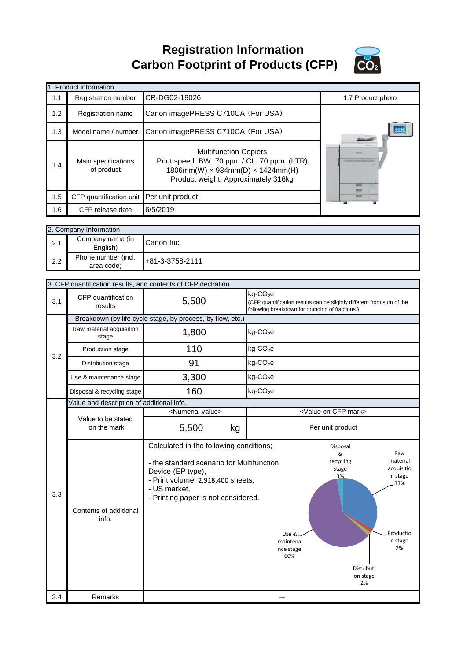**Registration Information Carbon Footprint of Products (CFP)**



|     | 1. Product information                   |                                                                                                                                                                       |                   |
|-----|------------------------------------------|-----------------------------------------------------------------------------------------------------------------------------------------------------------------------|-------------------|
| 1.1 | Registration number                      | CR-DG02-19026                                                                                                                                                         | 1.7 Product photo |
| 1.2 | Registration name                        | Canon imagePRESS C710CA (For USA)                                                                                                                                     |                   |
| 1.3 | Model name / number                      | Canon imagePRESS C710CA (For USA)                                                                                                                                     | <b>AGS</b>        |
| 1.4 | Main specifications<br>of product        | <b>Multifunction Copiers</b><br>Print speed BW: 70 ppm / CL: 70 ppm (LTR)<br>$1806$ mm(W) $\times$ 934mm(D) $\times$ 1424mm(H)<br>Product weight: Approximately 316kg |                   |
| 1.5 | CFP quantification unit Per unit product |                                                                                                                                                                       | 2000              |
| 1.6 | CFP release date                         | 6/5/2019                                                                                                                                                              |                   |
|     |                                          |                                                                                                                                                                       |                   |
|     | 2. Company Information                   |                                                                                                                                                                       |                   |
|     | Companiesonalis                          |                                                                                                                                                                       |                   |

| 2.1 | Company name (in<br>Enalish`      | Canon Inc.      |
|-----|-----------------------------------|-----------------|
| 2.2 | Phone number (incl.<br>area code) | +81-3-3758-2111 |

|     |                                           | 3. CFP quantification results, and contents of CFP declration                                                                                                                                         |                                                                                                                                                                                                     |  |  |
|-----|-------------------------------------------|-------------------------------------------------------------------------------------------------------------------------------------------------------------------------------------------------------|-----------------------------------------------------------------------------------------------------------------------------------------------------------------------------------------------------|--|--|
| 3.1 | CFP quantification<br>results             | 5,500                                                                                                                                                                                                 | kg-CO <sub>2</sub> e<br>(CFP quantification results can be slightly different from sum of the<br>following breakdown for rounding of fractions.)                                                    |  |  |
|     |                                           | Breakdown (by life cycle stage, by process, by flow, etc.)                                                                                                                                            |                                                                                                                                                                                                     |  |  |
|     | Raw material acquisition<br>stage         | 1,800                                                                                                                                                                                                 | $kg$ -CO <sub>2</sub> e                                                                                                                                                                             |  |  |
| 3.2 | Production stage                          | 110                                                                                                                                                                                                   | $kg$ -CO <sub>2</sub> e                                                                                                                                                                             |  |  |
|     | Distribution stage                        | 91                                                                                                                                                                                                    | $kg$ -CO <sub>2</sub> e                                                                                                                                                                             |  |  |
|     | Use & maintenance stage                   | 3,300                                                                                                                                                                                                 | $kg$ -CO <sub>2</sub> e                                                                                                                                                                             |  |  |
|     | Disposal & recycling stage                | 160                                                                                                                                                                                                   | $kg$ -CO <sub>2</sub> e                                                                                                                                                                             |  |  |
|     | Value and description of additional info. |                                                                                                                                                                                                       |                                                                                                                                                                                                     |  |  |
|     |                                           | <numerial value=""></numerial>                                                                                                                                                                        | <value cfp="" mark="" on=""></value>                                                                                                                                                                |  |  |
|     | Value to be stated<br>on the mark         | 5,500<br>kg                                                                                                                                                                                           | Per unit product                                                                                                                                                                                    |  |  |
|     |                                           |                                                                                                                                                                                                       |                                                                                                                                                                                                     |  |  |
| 3.3 | Contents of additional<br>info.           | Calculated in the following conditions;<br>- the standard scenario for Multifunction<br>Device (EP type),<br>- Print volume: 2,918,400 sheets,<br>- US market,<br>- Printing paper is not considered. | Disposal<br>&<br>Raw<br>recycling<br>material<br>acquisitio<br>stage<br>n stage<br>3%<br>33%<br>Productio<br>Use &<br>n stage<br>maintena<br>2%<br>nce stage<br>60%<br>Distributi<br>on stage<br>2% |  |  |